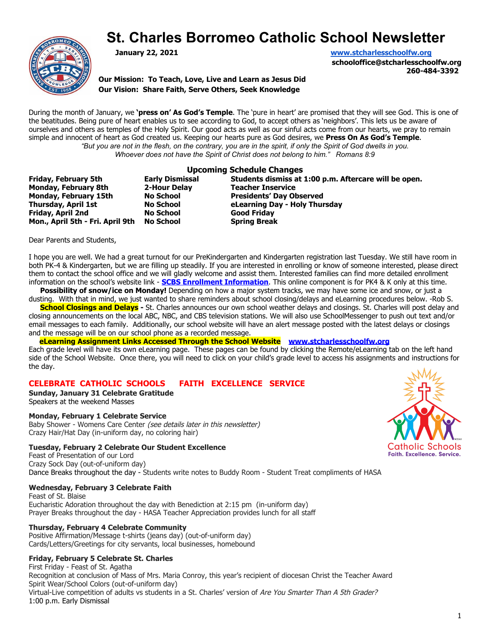# **St. Charles Borromeo Catholic School Newsletter**



**January 22, 2021 [www.stcharlesschoolfw.org](http://www.stcharlesschoolfw.org/)**

**schooloffice@stcharlesschoolfw.org 260-484-3392**

**Our Mission: To Teach, Love, Live and Learn as Jesus Did Our Vision: Share Faith, Serve Others, Seek Knowledge**

During the month of January, we **'press on' As God's Temple**. The 'pure in heart' are promised that they will see God. This is one of the beatitudes. Being pure of heart enables us to see according to God, to accept others as 'neighbors'. This lets us be aware of ourselves and others as temples of the Holy Spirit. Our good acts as well as our sinful acts come from our hearts, we pray to remain simple and innocent of heart as God created us. Keeping our hearts pure as God desires, we **Press On As God's Temple**. *"But you are not in the flesh, on the contrary, you are in the spirit, if only the Spirit of God dwells in you. Whoever does not have the Spirit of Christ does not belong to him." Romans 8:9*

|                                  | <b>Upcoming Schedule Changes</b> |                                                       |  |
|----------------------------------|----------------------------------|-------------------------------------------------------|--|
| <b>Friday, February 5th</b>      | <b>Early Dismissal</b>           | Students dismiss at 1:00 p.m. Aftercare will be open. |  |
| <b>Monday, February 8th</b>      | 2-Hour Delay                     | <b>Teacher Inservice</b>                              |  |
| <b>Monday, February 15th</b>     | <b>No School</b>                 | <b>Presidents' Day Observed</b>                       |  |
| Thursday, April 1st              | <b>No School</b>                 | eLearning Day - Holy Thursday                         |  |
| Friday, April 2nd                | <b>No School</b>                 | <b>Good Fridav</b>                                    |  |
| Mon., April 5th - Fri. April 9th | No School                        | <b>Spring Break</b>                                   |  |

Dear Parents and Students,

I hope you are well. We had a great turnout for our PreKindergarten and Kindergarten registration last Tuesday. We still have room in both PK-4 & Kindergarten, but we are filling up steadily. If you are interested in enrolling or know of someone interested, please direct them to contact the school office and we will gladly welcome and assist them. Interested families can find more detailed enrollment information on the school's website link - **SCBS [Enrollment Information](http://www.stcharlesschoolfw.org/enrollment-information.php)**. This online component is for PK4 & K only at this time.

 **Possibility of snow/ice on Monday!** Depending on how a major system tracks, we may have some ice and snow, or just a dusting. With that in mind, we just wanted to share reminders about school closing/delays and eLearning procedures below. -Rob S.

**School Closings and Delays -** St. Charles announces our own school weather delays and closings. St. Charles will post delay and closing announcements on the local ABC, NBC, and CBS television stations. We will also use SchoolMessenger to push out text and/or email messages to each family. Additionally, our school website will have an alert message posted with the latest delays or closings and the message will be on our school phone as a recorded message.

#### **eLearning Assignment Links Accessed Through the School Website [www.stcharlesschoolfw.org](http://www.stcharlesschoolfw.org/)**

Each grade level will have its own eLearning page. These pages can be found by clicking the Remote/eLearning tab on the left hand side of the School Website. Once there, you will need to click on your child's grade level to access his assignments and instructions for the day.

### **CELEBRATE CATHOLIC SCHOOLS FAITH EXCELLENCE SERVICE**

**Sunday, January 31 Celebrate Gratitude** Speakers at the weekend Masses

#### **Monday, February 1 Celebrate Service**

Baby Shower - Womens Care Center (see details later in this newsletter) Crazy Hair/Hat Day (in-uniform day, no coloring hair)

#### **Tuesday, February 2 Celebrate Our Student Excellence**

Feast of Presentation of our Lord Crazy Sock Day (out-of-uniform day) Dance Breaks throughout the day - Students write notes to Buddy Room - Student Treat compliments of HASA

#### **Wednesday, February 3 Celebrate Faith**

Feast of St. Blaise Eucharistic Adoration throughout the day with Benediction at 2:15 pm (in-uniform day) Prayer Breaks throughout the day - HASA Teacher Appreciation provides lunch for all staff

#### **Thursday, February 4 Celebrate Community**

Positive Affirmation/Message t-shirts (jeans day) (out-of-uniform day) Cards/Letters/Greetings for city servants, local businesses, homebound

#### **Friday, February 5 Celebrate St. Charles**

First Friday - Feast of St. Agatha Recognition at conclusion of Mass of Mrs. Maria Conroy, this year's recipient of diocesan Christ the Teacher Award Spirit Wear/School Colors (out-of-uniform day)

Virtual-Live competition of adults vs students in a St. Charles' version of Are You Smarter Than A 5th Grader? 1:00 p.m. Early Dismissal

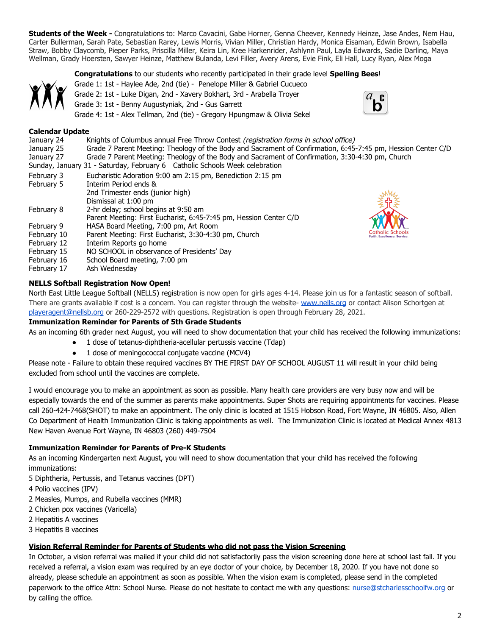**Students of the Week -** Congratulations to: Marco Cavacini, Gabe Horner, Genna Cheever, Kennedy Heinze, Jase Andes, Nem Hau, Carter Bullerman, Sarah Pate, Sebastian Rarey, Lewis Morris, Vivian Miller, Christian Hardy, Monica Eisaman, Edwin Brown, Isabella Straw, Bobby Claycomb, Pieper Parks, Priscilla Miller, Keira Lin, Kree Harkenrider, Ashlynn Paul, Layla Edwards, Sadie Darling, Maya Wellman, Grady Hoersten, Sawyer Heinze, Matthew Bulanda, Levi Filler, Avery Arens, Evie Fink, Eli Hall, Lucy Ryan, Alex Moga

#### **Congratulations** to our students who recently participated in their grade level **Spelling Bees**!



Grade 1: 1st - Haylee Ade, 2nd (tie) - Penelope Miller & Gabriel Cucueco

- Grade 2: 1st Luke Digan, 2nd Xavery Bokhart, 3rd Arabella Troyer
- Grade 3: 1st Benny Augustyniak, 2nd Gus Garrett

Grade 4: 1st - Alex Tellman, 2nd (tie) - Gregory Hpungmaw & Olivia Sekel



#### **Calendar Update**

| January 24<br>January 25<br>January 27 | Knights of Columbus annual Free Throw Contest (registration forms in school office)<br>Grade 7 Parent Meeting: Theology of the Body and Sacrament of Confirmation, 6:45-7:45 pm, Hession Center C/D<br>Grade 7 Parent Meeting: Theology of the Body and Sacrament of Confirmation, 3:30-4:30 pm, Church |
|----------------------------------------|---------------------------------------------------------------------------------------------------------------------------------------------------------------------------------------------------------------------------------------------------------------------------------------------------------|
|                                        | Sunday, January 31 - Saturday, February 6 Catholic Schools Week celebration                                                                                                                                                                                                                             |
| February 3                             | Eucharistic Adoration 9:00 am 2:15 pm, Benediction 2:15 pm                                                                                                                                                                                                                                              |
| February 5                             | Interim Period ends &                                                                                                                                                                                                                                                                                   |
|                                        | 2nd Trimester ends (junior high)                                                                                                                                                                                                                                                                        |
|                                        | Dismissal at 1:00 pm                                                                                                                                                                                                                                                                                    |
| February 8                             | 2-hr delay; school begins at 9:50 am                                                                                                                                                                                                                                                                    |
|                                        | Parent Meeting: First Eucharist, 6:45-7:45 pm, Hession Center C/D                                                                                                                                                                                                                                       |
| February 9                             | HASA Board Meeting, 7:00 pm, Art Room                                                                                                                                                                                                                                                                   |
| February 10                            | <b>Catholic Schools</b><br>Parent Meeting: First Eucharist, 3:30-4:30 pm, Church<br><b>Faith, Excellence, Service</b>                                                                                                                                                                                   |
| February 12                            | Interim Reports go home                                                                                                                                                                                                                                                                                 |
| February 15                            | NO SCHOOL in observance of Presidents' Day                                                                                                                                                                                                                                                              |
| February 16                            | School Board meeting, 7:00 pm                                                                                                                                                                                                                                                                           |
|                                        |                                                                                                                                                                                                                                                                                                         |

February 17 Ash Wednesday

#### **NELLS Softball Registration Now Open!**

North East Little League Softball (NELLS) registration is now open for girls ages 4-14. Please join us for a fantastic season of softball. There are grants available if cost is a concern. You can register through the website- [www.nells.org](http://www.nells.org/) or contact Alison Schortgen at [playeragent@nellsb.org](mailto:playeragent@nellsb.org) or 260-229-2572 with questions. Registration is open through February 28, 2021.

#### **Immunization Reminder for Parents of 5th Grade Students**

As an incoming 6th grader next August, you will need to show documentation that your child has received the following immunizations:

- 1 dose of tetanus-diphtheria-acellular pertussis vaccine (Tdap)
- 1 dose of meningococcal conjugate vaccine (MCV4)

Please note - Failure to obtain these required vaccines BY THE FIRST DAY OF SCHOOL AUGUST 11 will result in your child being excluded from school until the vaccines are complete.

I would encourage you to make an appointment as soon as possible. Many health care providers are very busy now and will be especially towards the end of the summer as parents make appointments. Super Shots are requiring appointments for vaccines. Please call 260-424-7468(SHOT) to make an appointment. The only clinic is located at 1515 Hobson Road, Fort Wayne, IN 46805. Also, Allen Co Department of Health Immunization Clinic is taking appointments as well. The Immunization Clinic is located at Medical Annex 4813 New Haven Avenue Fort Wayne, IN 46803 (260) 449-7504

#### **Immunization Reminder for Parents of Pre-K Students**

As an incoming Kindergarten next August, you will need to show documentation that your child has received the following immunizations:

- 5 Diphtheria, Pertussis, and Tetanus vaccines (DPT)
- 4 Polio vaccines (IPV)
- 2 Measles, Mumps, and Rubella vaccines (MMR)
- 2 Chicken pox vaccines (Varicella)
- 2 Hepatitis A vaccines
- 3 Hepatitis B vaccines

#### **Vision Referral Reminder for Parents of Students who did not pass the Vision Screening**

In October, a vision referral was mailed if your child did not satisfactorily pass the vision screening done here at school last fall. If you received a referral, a vision exam was required by an eye doctor of your choice, by December 18, 2020. If you have not done so already, please schedule an appointment as soon as possible. When the vision exam is completed, please send in the completed paperwork to the office Attn: School Nurse. Please do not hesitate to contact me with any questions: nurse@stcharlesschoolfw.org or by calling the office.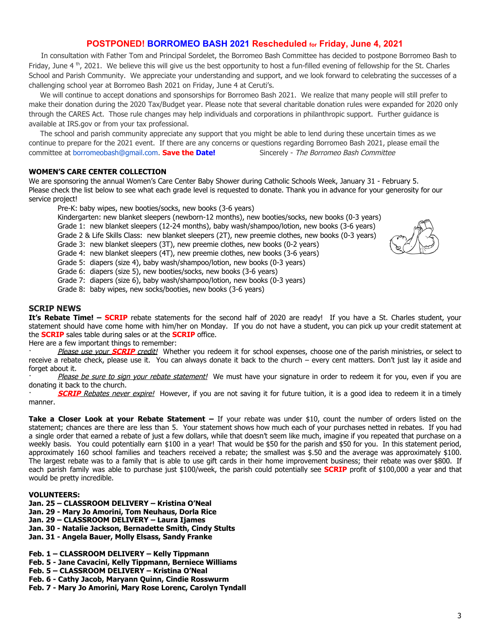### **POSTPONED! BORROMEO BASH 2021 Rescheduled for Friday, June 4, 2021**

 In consultation with Father Tom and Principal Sordelet, the Borromeo Bash Committee has decided to postpone Borromeo Bash to Friday, June 4  $^{\text{th}}$ , 2021. We believe this will give us the best opportunity to host a fun-filled evening of fellowship for the St. Charles School and Parish Community. We appreciate your understanding and support, and we look forward to celebrating the successes of a challenging school year at Borromeo Bash 2021 on Friday, June 4 at Ceruti's.

 We will continue to accept donations and sponsorships for Borromeo Bash 2021. We realize that many people will still prefer to make their donation during the 2020 Tax/Budget year. Please note that several charitable donation rules were expanded for 2020 only through the CARES Act. Those rule changes may help individuals and corporations in philanthropic support. Further guidance is available at IRS.gov or from your tax professional.

 The school and parish community appreciate any support that you might be able to lend during these uncertain times as we continue to prepare for the 2021 event. If there are any concerns or questions regarding Borromeo Bash 2021, please email the committee at borromeobash@gmail.com. **Save the Date!** Sincerely - The Borromeo Bash Committee

#### **WOMEN'S CARE CENTER COLLECTION**

We are sponsoring the annual Women's Care Center Baby Shower during Catholic Schools Week, January 31 - February 5. Please check the list below to see what each grade level is requested to donate. Thank you in advance for your generosity for our service project!

Pre-K: baby wipes, new booties/socks, new books (3-6 years)

Kindergarten: new blanket sleepers (newborn-12 months), new booties/socks, new books (0-3 years) Grade 1: new blanket sleepers (12-24 months), baby wash/shampoo/lotion, new books (3-6 years) Grade 2 & Life Skills Class: new blanket sleepers (2T), new preemie clothes, new books (0-3 years) Grade 3: new blanket sleepers (3T), new preemie clothes, new books (0-2 years) Grade 4: new blanket sleepers (4T), new preemie clothes, new books (3-6 years) Grade 5: diapers (size 4), baby wash/shampoo/lotion, new books (0-3 years) Grade 6: diapers (size 5), new booties/socks, new books (3-6 years)



Grade 8: baby wipes, new socks/booties, new books (3-6 years)

#### **SCRIP NEWS**

**It's Rebate Time! – SCRIP** rebate statements for the second half of 2020 are ready! If you have a St. Charles student, your statement should have come home with him/her on Monday. If you do not have a student, you can pick up your credit statement at the **SCRIP** sales table during sales or at the **SCRIP** office.

Here are a few important things to remember:

Please use your **SCRIP** credit! Whether you redeem it for school expenses, choose one of the parish ministries, or select to receive a rebate check, please use it. You can always donate it back to the church – every cent matters. Don't just lay it aside and forget about it.

Please be sure to sign your rebate statement! We must have your signature in order to redeem it for you, even if you are donating it back to the church.

**SCRIP** Rebates never expire! However, if you are not saving it for future tuition, it is a good idea to redeem it in a timely manner.

**Take a Closer Look at your Rebate Statement –** If your rebate was under \$10, count the number of orders listed on the statement; chances are there are less than 5. Your statement shows how much each of your purchases netted in rebates. If you had a single order that earned a rebate of just a few dollars, while that doesn't seem like much, imagine if you repeated that purchase on a weekly basis. You could potentially earn \$100 in a year! That would be \$50 for the parish and \$50 for you. In this statement period, approximately 160 school families and teachers received a rebate; the smallest was \$.50 and the average was approximately \$100. The largest rebate was to a family that is able to use gift cards in their home improvement business; their rebate was over \$800. If each parish family was able to purchase just \$100/week, the parish could potentially see **SCRIP** profit of \$100,000 a year and that would be pretty incredible.

#### **VOLUNTEERS:**

- **Jan. 25 CLASSROOM DELIVERY Kristina O'Neal**
- **Jan. 29 Mary Jo Amorini, Tom Neuhaus, Dorla Rice**
- **Jan. 29 CLASSROOM DELIVERY Laura Ijames**
- **Jan. 30 Natalie Jackson, Bernadette Smith, Cindy Stults**

**Jan. 31 - Angela Bauer, Molly Elsass, Sandy Franke**

**Feb. 1 – CLASSROOM DELIVERY – Kelly Tippmann**

- **Feb. 5 Jane Cavacini, Kelly Tippmann, Berniece Williams**
- **Feb. 5 CLASSROOM DELIVERY Kristina O'Neal**

**Feb. 6 - Cathy Jacob, Maryann Quinn, Cindie Rosswurm**

**Feb. 7 - Mary Jo Amorini, Mary Rose Lorenc, Carolyn Tyndall**